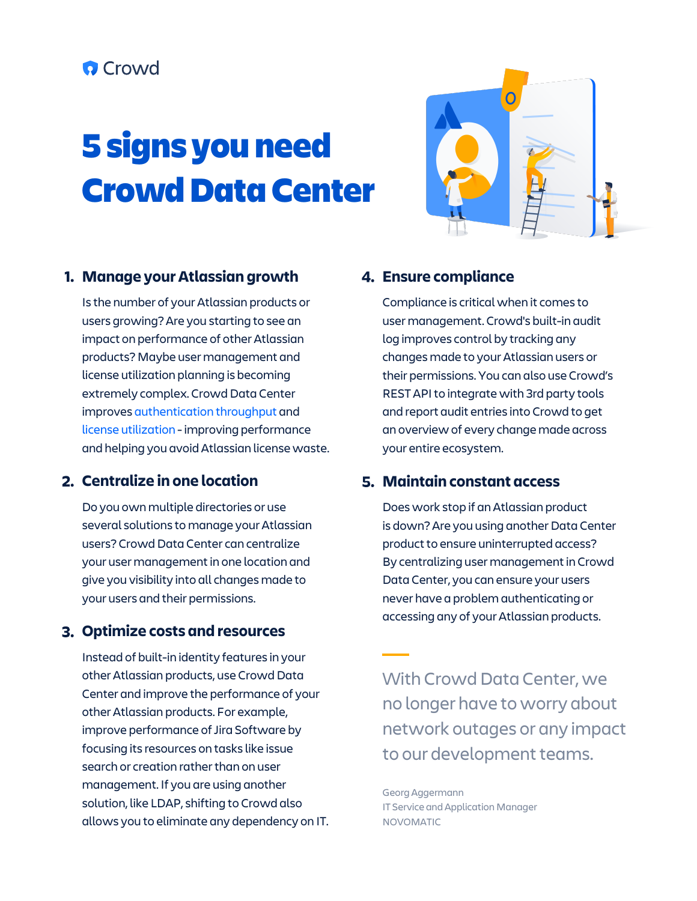### **O** Crowd

# **5 signs you need Crowd Data Center**



#### **Manage your Atlassian growth**

Is the number of your Atlassian products or users growing? Are you starting to see an impact on performance of other Atlassian products? Maybe user management and license utilization planning is becoming extremely complex. Crowd Data Center improves [authentication throughput a](https://confluence.atlassian.com/enterprise/crowd-data-center-performance-935910743.html)nd [license utilization -](https://www.atlassian.com/blog/crowd/improve-license-utilization-atlassian-products-crowd-3-1) improving performance and helping you avoid Atlassian license waste.

#### **Centralize in one location**

Do you own multiple directories or use several solutions to manage your Atlassian users? Crowd Data Center can centralize your user management in one location and give you visibility into all changes made to your users and their permissions.

#### **Optimize costs and resources**

Instead of built-in identity features in your other Atlassian products, use Crowd Data Center and improve the performance of your other Atlassian products. For example, improve performance of Jira Software by focusing its resources on tasks like issue search or creation rather than on user management. If you are using another solution, like LDAP, shifting to Crowd also allows you to eliminate any dependency on IT.

#### **Ensure compliance**

Compliance is critical when it comes to user management. Crowd's built-in audit log improves control by tracking any changes made to your Atlassian users or their permissions. You can also use Crowd's REST API to integrate with 3rd party tools and report audit entries into Crowd to get an overview of every change made across your entire ecosystem.

#### **Maintain constant access**

Does work stop if an Atlassian product is down? Are you using another Data Center product to ensure uninterrupted access? By centralizing user management in Crowd Data Center, you can ensure your users never have a problem authenticating or accessing any of your Atlassian products.

With Crowd Data Center, we no longer have to worry about network outages or any impact to our development teams.

Georg Aggermann IT Service and Application Manager NOVOMATIC